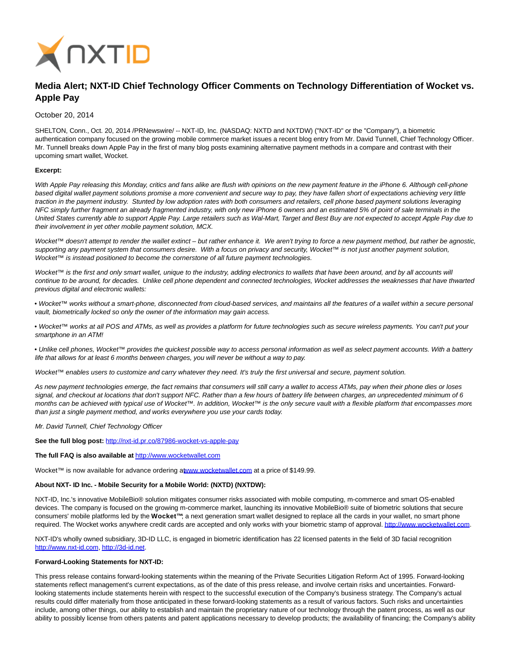

# **Media Alert; NXT-ID Chief Technology Officer Comments on Technology Differentiation of Wocket vs. Apple Pay**

## October 20, 2014

SHELTON, Conn., Oct. 20, 2014 /PRNewswire/ -- NXT-ID, Inc. (NASDAQ: NXTD and NXTDW) ("NXT-ID" or the "Company"), a biometric authentication company focused on the growing mobile commerce market issues a recent blog entry from Mr. David Tunnell, Chief Technology Officer. Mr. Tunnell breaks down Apple Pay in the first of many blog posts examining alternative payment methods in a compare and contrast with their upcoming smart wallet, Wocket.

#### **Excerpt:**

With Apple Pay releasing this Monday, critics and fans alike are flush with opinions on the new payment feature in the iPhone 6. Although cell-phone based digital wallet payment solutions promise a more convenient and secure way to pay, they have fallen short of expectations achieving very little traction in the payment industry. Stunted by low adoption rates with both consumers and retailers, cell phone based payment solutions leveraging NFC simply further fragment an already fragmented industry, with only new iPhone 6 owners and an estimated 5% of point of sale terminals in the United States currently able to support Apple Pay. Large retailers such as Wal-Mart, Target and Best Buy are not expected to accept Apple Pay due to their involvement in yet other mobile payment solution, MCX.

Wocket™ doesn't attempt to render the wallet extinct – but rather enhance it. We aren't trying to force a new payment method, but rather be agnostic, supporting any payment system that consumers desire. With a focus on privacy and security, Wocket™ is not just another payment solution, Wocket™ is instead positioned to become the cornerstone of all future payment technologies.

Wocket™ is the first and only smart wallet, unique to the industry, adding electronics to wallets that have been around, and by all accounts will continue to be around, for decades. Unlike cell phone dependent and connected technologies, Wocket addresses the weaknesses that have thwarted previous digital and electronic wallets:

• Wocket™ works without a smart-phone, disconnected from cloud-based services, and maintains all the features of a wallet within a secure personal vault, biometrically locked so only the owner of the information may gain access.

• Wocket™ works at all POS and ATMs, as well as provides a platform for future technologies such as secure wireless payments. You can't put your smartphone in an ATM!

• Unlike cell phones, Wocket™ provides the quickest possible way to access personal information as well as select payment accounts. With a battery life that allows for at least 6 months between charges, you will never be without a way to pay.

Wocket™ enables users to customize and carry whatever they need. It's truly the first universal and secure, payment solution.

As new payment technologies emerge, the fact remains that consumers will still carry a wallet to access ATMs, pay when their phone dies or loses signal, and checkout at locations that don't support NFC. Rather than a few hours of battery life between charges, an unprecedented minimum of 6 months can be achieved with typical use of Wocket™. In addition, Wocket™ is the only secure vault with a flexible platform that encompasses more than just a single payment method, and works everywhere you use your cards today.

Mr. David Tunnell, Chief Technology Officer

**See the full blog post:** <http://nxt-id.pr.co/87986-wocket-vs-apple-pay>

## **The full FAQ is also available at** [http://www.wocketwallet.com](http://www.wocketwallet.com/)

Wocket™ is now available for advance ordering [at www.wocketwallet.com a](http://www.wocketwallet.com/)t a price of \$149.99.

#### **About NXT- ID Inc. - Mobile Security for a Mobile World: (NXTD) (NXTDW):**

NXT-ID, Inc.'s innovative MobileBio® solution mitigates consumer risks associated with mobile computing, m-commerce and smart OS-enabled devices. The company is focused on the growing m-commerce market, launching its innovative MobileBio® suite of biometric solutions that secure consumers' mobile platforms led by the **Wocket™**; a next generation smart wallet designed to replace all the cards in your wallet, no smart phone required. The Wocket works anywhere credit cards are accepted and only works with your biometric stamp of approval. http://www.wocketwall

NXT-ID's wholly owned subsidiary, 3D-ID LLC, is engaged in biometric identification has 22 licensed patents in the field of 3D facial recognition [http://www.nxt-id.com,](http://www.nxt-id.com/) [http://3d-id.net.](http://3d-id.net/)

#### **Forward-Looking Statements for NXT-ID:**

This press release contains forward-looking statements within the meaning of the Private Securities Litigation Reform Act of 1995. Forward-looking statements reflect management's current expectations, as of the date of this press release, and involve certain risks and uncertainties. Forwardlooking statements include statements herein with respect to the successful execution of the Company's business strategy. The Company's actual results could differ materially from those anticipated in these forward-looking statements as a result of various factors. Such risks and uncertainties include, among other things, our ability to establish and maintain the proprietary nature of our technology through the patent process, as well as our ability to possibly license from others patents and patent applications necessary to develop products; the availability of financing; the Company's ability